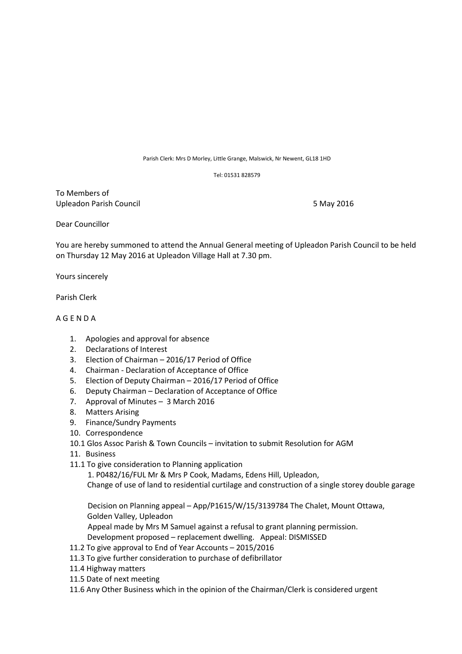Parish Clerk: Mrs D Morley, Little Grange, Malswick, Nr Newent, GL18 1HD

Tel: 01531 828579

To Members of Upleadon Parish Council **1996** Council 1996 Council 1997 S May 2016

Dear Councillor

You are hereby summoned to attend the Annual General meeting of Upleadon Parish Council to be held on Thursday 12 May 2016 at Upleadon Village Hall at 7.30 pm.

Yours sincerely

Parish Clerk

## A G E N D A

- 1. Apologies and approval for absence
- 2. Declarations of Interest
- 3. Election of Chairman 2016/17 Period of Office
- 4. Chairman Declaration of Acceptance of Office
- 5. Election of Deputy Chairman 2016/17 Period of Office
- 6. Deputy Chairman Declaration of Acceptance of Office
- 7. Approval of Minutes 3 March 2016
- 8. Matters Arising
- 9. Finance/Sundry Payments
- 10. Correspondence
- 10.1 Glos Assoc Parish & Town Councils invitation to submit Resolution for AGM
- 11. Business
- 11.1 To give consideration to Planning application

1. P0482/16/FUL Mr & Mrs P Cook, Madams, Edens Hill, Upleadon,

Change of use of land to residential curtilage and construction of a single storey double garage

 Decision on Planning appeal – App/P1615/W/15/3139784 The Chalet, Mount Ottawa, Golden Valley, Upleadon

Appeal made by Mrs M Samuel against a refusal to grant planning permission.

Development proposed – replacement dwelling. Appeal: DISMISSED

- 11.2 To give approval to End of Year Accounts 2015/2016
- 11.3 To give further consideration to purchase of defibrillator
- 11.4 Highway matters
- 11.5 Date of next meeting
- 11.6 Any Other Business which in the opinion of the Chairman/Clerk is considered urgent